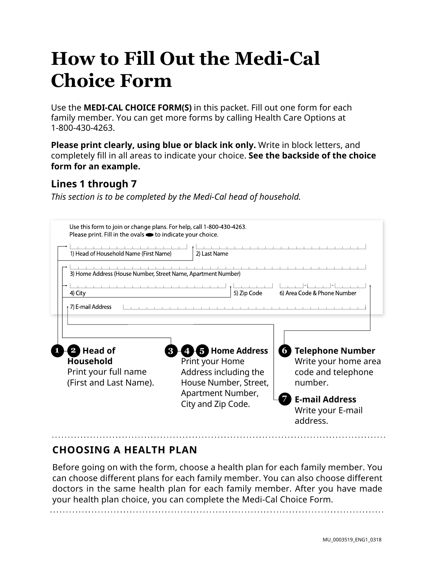# **How to Fill Out the Medi-Cal Choice Form**

Use the **MEDI-CAL CHOICE FORM(S)** in this packet. Fill out one form for each family member. You can get more forms by calling Health Care Options at 1-800-430-4263.

**Please print clearly, using blue or black ink only.** Write in block letters, and completely fill in all areas to indicate your choice. **See the backside of the choice form for an example.** 

### **Lines 1 through 7**

*This section is to be completed by the Medi-Cal head of household.* 

| Use this form to join or change plans. For help, call 1-800-430-4263.<br>Please print. Fill in the ovals <b>·</b> to indicate your choice. |                                                                                                                                       |                                                                                                                                                 |
|--------------------------------------------------------------------------------------------------------------------------------------------|---------------------------------------------------------------------------------------------------------------------------------------|-------------------------------------------------------------------------------------------------------------------------------------------------|
| 1) Head of Household Name (First Name)                                                                                                     | 2) Last Name                                                                                                                          |                                                                                                                                                 |
| 3) Home Address (House Number, Street Name, Apartment Number)                                                                              |                                                                                                                                       |                                                                                                                                                 |
| 4) City                                                                                                                                    | 5) Zip Code                                                                                                                           | 6) Area Code & Phone Number                                                                                                                     |
| 7) E-mail Address                                                                                                                          |                                                                                                                                       |                                                                                                                                                 |
| Head of<br><b>Household</b><br>Print your full name<br>(First and Last Name).                                                              | <b>5</b> Home Address<br>Print your Home<br>Address including the<br>House Number, Street,<br>Apartment Number,<br>City and Zip Code. | <b>Telephone Number</b><br>6<br>Write your home area<br>code and telephone<br>number.<br><b>E-mail Address</b><br>Write your E-mail<br>address. |

### **CHOOSING A HEALTH PLAN**

Before going on with the form, choose a health plan for each family member. You can choose different plans for each family member. You can also choose different doctors in the same health plan for each family member. After you have made your health plan choice, you can complete the Medi-Cal Choice Form.

MU\_0003519\_ENG1\_0318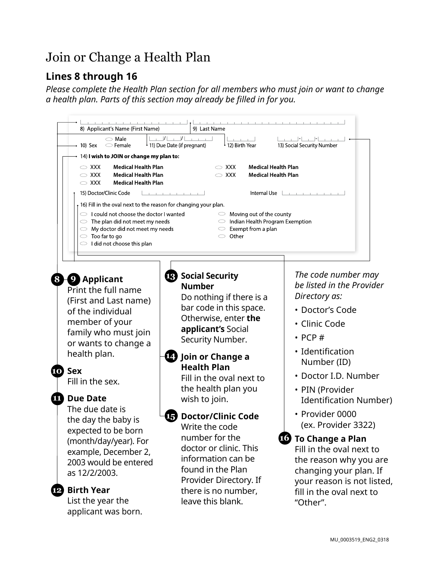# Join or Change a Health Plan

## **Lines 8 through 16**

*Please complete the Health Plan section for all members who must join or want to change a health plan. Parts of this section may already be filled in for you.* 

| 8) Applicant's Name (First Name)                                                                                                                                                                                                                            | 9) Last Name                                                                                                                                                                                                                                                                         |                                                                                                                                                                                                                                      |
|-------------------------------------------------------------------------------------------------------------------------------------------------------------------------------------------------------------------------------------------------------------|--------------------------------------------------------------------------------------------------------------------------------------------------------------------------------------------------------------------------------------------------------------------------------------|--------------------------------------------------------------------------------------------------------------------------------------------------------------------------------------------------------------------------------------|
| $\circlearrowright$ Male<br>$\rightarrow$ 10) Sex<br>$\circ$ Female                                                                                                                                                                                         | I <br>$\vert$<br>12) Birth Year<br>↓ 11) Due Date (if pregnant)                                                                                                                                                                                                                      | 13) Social Security Number                                                                                                                                                                                                           |
| 14) I wish to JOIN or change my plan to:                                                                                                                                                                                                                    |                                                                                                                                                                                                                                                                                      |                                                                                                                                                                                                                                      |
| <b>Medical Health Plan</b><br>$\sim$ XXX<br>$\circ$ XXX<br><b>Medical Health Plan</b><br><b>Medical Health Plan</b><br>$\sim$ XXX                                                                                                                           | $\sim$ XXX<br><b>Medical Health Plan</b><br>$\sim$ XXX<br><b>Medical Health Plan</b>                                                                                                                                                                                                 |                                                                                                                                                                                                                                      |
| 15) Doctor/Clinic Code                                                                                                                                                                                                                                      | the contract of the con-                                                                                                                                                                                                                                                             | Internal Use $\Box$                                                                                                                                                                                                                  |
| 16) Fill in the oval next to the reason for changing your plan.                                                                                                                                                                                             |                                                                                                                                                                                                                                                                                      |                                                                                                                                                                                                                                      |
| $\circlearrowright$ I could not choose the doctor I wanted<br>$\circ$ The plan did not meet my needs<br>$\circlearrowright$ My doctor did not meet my needs<br>$\circ$ Too far to go<br>$\circ$ I did not choose this plan                                  | $\circ$ Moving out of the county<br>$\circ$ Indian Health Program Exemption<br>$\circ$ Exempt from a plan<br>$\circ$ Other                                                                                                                                                           |                                                                                                                                                                                                                                      |
| <b>8 O</b> Applicant<br>Print the full name<br>(First and Last name)<br>of the individual<br>member of your<br>family who must join<br>or wants to change a<br>health plan.<br><b>TO</b> Sex<br>Fill in the sex.<br><b>Due Date</b><br>ш<br>The due date is | <b>B</b> Social Security<br><b>Number</b><br>Do nothing if there is a<br>bar code in this space.<br>Otherwise, enter the<br>applicant's Social<br>Security Number.<br>14) Join or Change a<br><b>Health Plan</b><br>Fill in the oval next to<br>the health plan you<br>wish to join. | The code number may<br>be listed in the Provider<br>Directory as:<br>• Doctor's Code<br>· Clinic Code<br>$\cdot$ PCP#<br>• Identification<br>Number (ID)<br>• Doctor I.D. Number<br>• PIN (Provider<br><b>Identification Number)</b> |
| the day the baby is<br>expected to be born<br>(month/day/year). For<br>example, December 2,<br>2003 would be entered<br>as 12/2/2003.<br><b>Birth Year</b><br>12<br>List the year the<br>applicant was born.                                                | <b>Doctor/Clinic Code</b><br>15)<br>Write the code<br>number for the<br>doctor or clinic. This<br>information can be<br>found in the Plan<br>Provider Directory. If<br>there is no number,<br>leave this blank.                                                                      | • Provider 0000<br>(ex. Provider 3322)<br><b>10</b> To Change a Plan<br>Fill in the oval next to<br>the reason why you are<br>changing your plan. If<br>your reason is not listed,<br>fill in the oval next to<br>"Other".           |